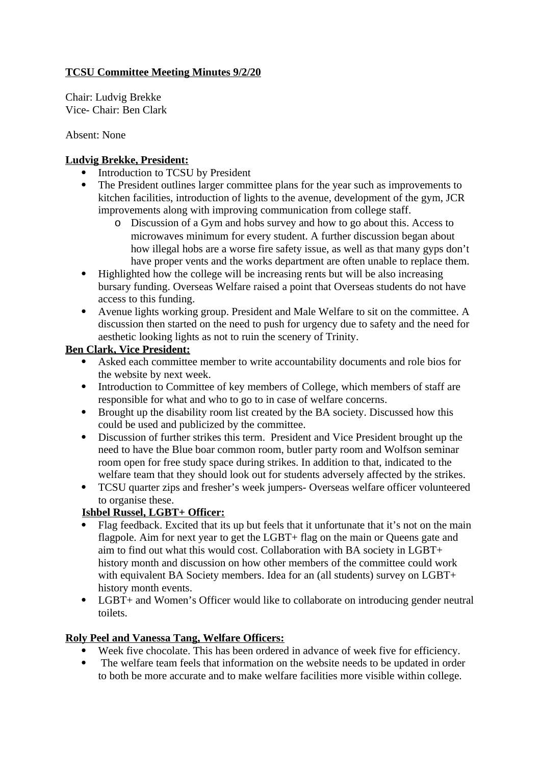### **TCSU Committee Meeting Minutes 9/2/20**

Chair: Ludvig Brekke Vice- Chair: Ben Clark

Absent: None

#### **Ludvig Brekke, President:**

- Introduction to TCSU by President
- The President outlines larger committee plans for the year such as improvements to kitchen facilities, introduction of lights to the avenue, development of the gym, JCR improvements along with improving communication from college staff.
	- o Discussion of a Gym and hobs survey and how to go about this. Access to microwaves minimum for every student. A further discussion began about how illegal hobs are a worse fire safety issue, as well as that many gyps don't have proper vents and the works department are often unable to replace them.
- Highlighted how the college will be increasing rents but will be also increasing bursary funding. Overseas Welfare raised a point that Overseas students do not have access to this funding.
- Avenue lights working group. President and Male Welfare to sit on the committee. A discussion then started on the need to push for urgency due to safety and the need for aesthetic looking lights as not to ruin the scenery of Trinity.

#### **Ben Clark, Vice President:**

- Asked each committee member to write accountability documents and role bios for the website by next week.
- Introduction to Committee of key members of College, which members of staff are responsible for what and who to go to in case of welfare concerns.
- Brought up the disability room list created by the BA society. Discussed how this could be used and publicized by the committee.
- Discussion of further strikes this term. President and Vice President brought up the need to have the Blue boar common room, butler party room and Wolfson seminar room open for free study space during strikes. In addition to that, indicated to the welfare team that they should look out for students adversely affected by the strikes.
- TCSU quarter zips and fresher's week jumpers- Overseas welfare officer volunteered to organise these.

## **Ishbel Russel, LGBT+ Officer:**

- Flag feedback. Excited that its up but feels that it unfortunate that it's not on the main flagpole. Aim for next year to get the LGBT+ flag on the main or Queens gate and aim to find out what this would cost. Collaboration with BA society in LGBT+ history month and discussion on how other members of the committee could work with equivalent BA Society members. Idea for an (all students) survey on LGBT+ history month events.
- LGBT+ and Women's Officer would like to collaborate on introducing gender neutral toilets.

## **Roly Peel and Vanessa Tang, Welfare Officers:**

- Week five chocolate. This has been ordered in advance of week five for efficiency.
- The welfare team feels that information on the website needs to be updated in order to both be more accurate and to make welfare facilities more visible within college.